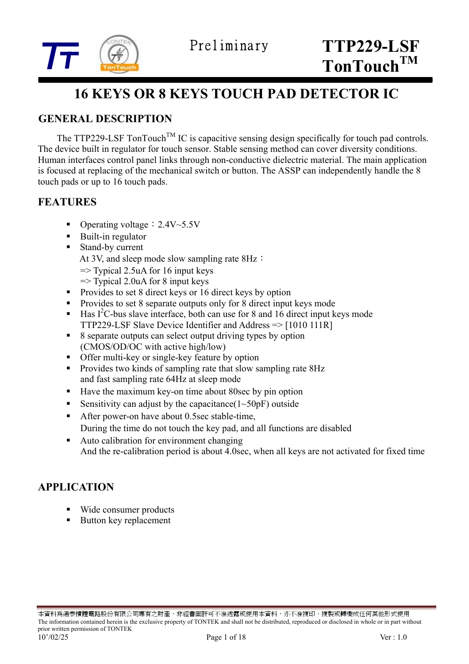

## **16 KEYS OR 8 KEYS TOUCH PAD DETECTOR IC**

### **GENERAL DESCRIPTION**

The TTP229-LSF TonTouch<sup>TM</sup> IC is capacitive sensing design specifically for touch pad controls. The device built in regulator for touch sensor. Stable sensing method can cover diversity conditions. Human interfaces control panel links through non-conductive dielectric material. The main application is focused at replacing of the mechanical switch or button. The ASSP can independently handle the 8 touch pads or up to 16 touch pads.

#### **FEATURES**

- Operating voltage:2.4V~5.5V
- Built-in regulator
- Stand-by current
	- At 3V, and sleep mode slow sampling rate 8Hz:
	- $\Rightarrow$  Typical 2.5uA for 16 input keys
	- $\Rightarrow$  Typical 2.0uA for 8 input keys
- Provides to set 8 direct keys or 16 direct keys by option
- Provides to set 8 separate outputs only for 8 direct input keys mode
- $\blacksquare$  Has I<sup>2</sup>C-bus slave interface, both can use for 8 and 16 direct input keys mode TTP229-LSF Slave Device Identifier and Address => [1010 111R]
- 8 separate outputs can select output driving types by option (CMOS/OD/OC with active high/low)
- Offer multi-key or single-key feature by option
- Provides two kinds of sampling rate that slow sampling rate 8Hz and fast sampling rate 64Hz at sleep mode
- Have the maximum key-on time about 80sec by pin option
- Sensitivity can adjust by the capacitance  $(1~50pF)$  outside
- After power-on have about 0.5sec stable-time,
	- During the time do not touch the key pad, and all functions are disabled
- Auto calibration for environment changing And the re-calibration period is about 4.0sec, when all keys are not activated for fixed time

#### **APPLICATION**

- Wide consumer products
- Button key replacement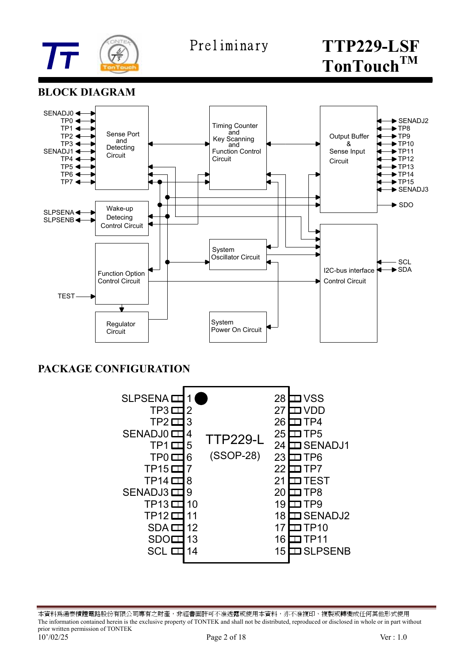

#### **BLOCK DIAGRAM**



#### **PACKAGE CONFIGURATION**



本資料爲通泰積體電路股份有限公司專有之財產,非經書面許可不准透露或使用本資料,亦不准複印、複製或轉變成任何其他形式使用 The information contained herein is the exclusive property of TONTEK and shall not be distributed, reproduced or disclosed in whole or in part without prior written permission of TONTEK 10'/02/25 Page 2 of 18 Ver : 1.0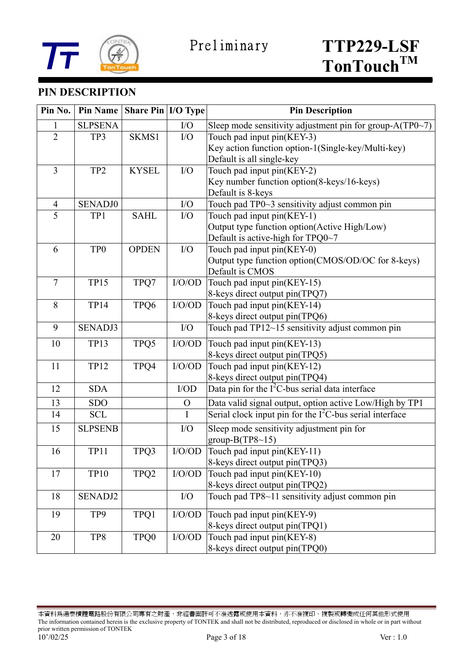



### **PIN DESCRIPTION**

| Pin No.        | <b>Pin Name</b> | Share Pin   I/O Type |              | <b>Pin Description</b>                                     |  |  |
|----------------|-----------------|----------------------|--------------|------------------------------------------------------------|--|--|
| 1              | <b>SLPSENA</b>  |                      | I/O          | Sleep mode sensitivity adjustment pin for group-A(TP0~7)   |  |  |
| $\overline{2}$ | TP3             | SKMS1                | I/O          | Touch pad input pin(KEY-3)                                 |  |  |
|                |                 |                      |              | Key action function option-1(Single-key/Multi-key)         |  |  |
|                |                 |                      |              | Default is all single-key                                  |  |  |
| $\overline{3}$ | TP <sub>2</sub> | <b>KYSEL</b>         | I/O          | Touch pad input pin(KEY-2)                                 |  |  |
|                |                 |                      |              | Key number function option(8-keys/16-keys)                 |  |  |
|                |                 |                      |              | Default is 8-keys                                          |  |  |
| $\overline{4}$ | <b>SENADJ0</b>  |                      | I/O          | Touch pad TP0~3 sensitivity adjust common pin              |  |  |
| 5              | TP1             | <b>SAHL</b>          | I/O          | Touch pad input pin(KEY-1)                                 |  |  |
|                |                 |                      |              | Output type function option(Active High/Low)               |  |  |
|                |                 |                      |              | Default is active-high for TPQ0~7                          |  |  |
| 6              | TP <sub>0</sub> | <b>OPDEN</b>         | I/O          | Touch pad input pin(KEY-0)                                 |  |  |
|                |                 |                      |              | Output type function option(CMOS/OD/OC for 8-keys)         |  |  |
|                |                 |                      |              | Default is CMOS                                            |  |  |
| $\overline{7}$ | <b>TP15</b>     | TPQ7                 | I/O/OD       | Touch pad input pin(KEY-15)                                |  |  |
|                |                 |                      |              | 8-keys direct output pin(TPQ7)                             |  |  |
| 8              | <b>TP14</b>     | TPQ6                 | I/O/OD       | Touch pad input pin(KEY-14)                                |  |  |
|                |                 |                      |              | 8-keys direct output pin(TPQ6)                             |  |  |
| 9              | <b>SENADJ3</b>  |                      | I/O          | Touch pad TP12~15 sensitivity adjust common pin            |  |  |
| 10             | <b>TP13</b>     | TPQ5                 | I/O/OD       | Touch pad input pin(KEY-13)                                |  |  |
|                |                 |                      |              | 8-keys direct output pin(TPQ5)                             |  |  |
| 11             | <b>TP12</b>     | TPQ4                 | I/O/OD       | Touch pad input pin(KEY-12)                                |  |  |
|                |                 |                      |              | 8-keys direct output pin(TPQ4)                             |  |  |
| 12             | <b>SDA</b>      |                      | $\rm I/OD$   | Data pin for the $I^2C$ -bus serial data interface         |  |  |
| 13             | <b>SDO</b>      |                      | $\mathbf O$  | Data valid signal output, option active Low/High by TP1    |  |  |
| 14             | <b>SCL</b>      |                      | I            | Serial clock input pin for the $I2C$ -bus serial interface |  |  |
| 15             | <b>SLPSENB</b>  |                      | I/O          | Sleep mode sensitivity adjustment pin for                  |  |  |
|                |                 |                      |              | group- $B(TP8~15)$                                         |  |  |
| 16             | <b>TP11</b>     | TPQ3                 | I/O/OD       | Touch pad input pin(KEY-11)                                |  |  |
|                |                 |                      |              | 8-keys direct output pin(TPQ3)                             |  |  |
| 17             | <b>TP10</b>     | TPQ2                 | I/O/OD       | Touch pad input pin(KEY-10)                                |  |  |
|                |                 |                      |              | 8-keys direct output pin(TPQ2)                             |  |  |
| 18             | SENADJ2         |                      | I/O          | Touch pad TP8~11 sensitivity adjust common pin             |  |  |
| 19             | TP9             | TPQ1                 | $\rm I/O/OD$ | Touch pad input pin(KEY-9)                                 |  |  |
|                |                 |                      |              | 8-keys direct output pin(TPQ1)                             |  |  |
| 20             | TP8             | TPQ0                 | I/O/OD       | Touch pad input pin(KEY-8)                                 |  |  |
|                |                 |                      |              | 8-keys direct output pin(TPQ0)                             |  |  |

本資料為通泰積體電路股份有限公司專有之財產,非經書面許可不准透露或使用本資料,亦不准複印、複製或轉變成任何其他形式使用 The information contained herein is the exclusive property of TONTEK and shall not be distributed, reproduced or disclosed in whole or in part without prior written permission of TONTEK 10'/02/25 Page 3 of 18 Ver : 1.0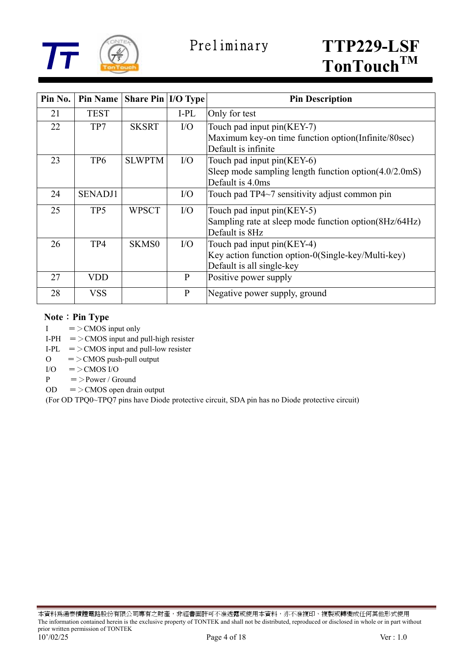

| Pin No. | <b>Pin Name</b> | <b>Share Pin I/O Type</b> |              | <b>Pin Description</b>                                 |
|---------|-----------------|---------------------------|--------------|--------------------------------------------------------|
| 21      | <b>TEST</b>     |                           | I-PL         | Only for test                                          |
| 22      | TP7             | <b>SKSRT</b>              | $\rm I/O$    | Touch pad input pin(KEY-7)                             |
|         |                 |                           |              | Maximum key-on time function option(Infinite/80sec)    |
|         |                 |                           |              | Default is infinite                                    |
| 23      | TP <sub>6</sub> | <b>SLWPTM</b>             | $\rm I/O$    | Touch pad input pin(KEY-6)                             |
|         |                 |                           |              | Sleep mode sampling length function option(4.0/2.0mS)  |
|         |                 |                           |              | Default is 4.0ms                                       |
| 24      | <b>SENADJ1</b>  |                           | I/O          | Touch pad TP4~7 sensitivity adjust common pin          |
| 25      | TP <sub>5</sub> | <b>WPSCT</b>              | $\rm I/O$    | Touch pad input pin(KEY-5)                             |
|         |                 |                           |              | Sampling rate at sleep mode function option (8Hz/64Hz) |
|         |                 |                           |              | Default is 8Hz                                         |
| 26      | TP4             | <b>SKMS0</b>              | $\rm I/O$    | Touch pad input pin(KEY-4)                             |
|         |                 |                           |              | Key action function option-0(Single-key/Multi-key)     |
|         |                 |                           |              | Default is all single-key                              |
| 27      | VDD             |                           | $\mathbf{P}$ | Positive power supply                                  |
| 28      | VSS             |                           | $\mathbf{P}$ | Negative power supply, ground                          |

#### **Note**: Pin Type

- $I = >$ CMOS input only
- I-PH  $=$  > CMOS input and pull-high resister
- I-PL  $=$  > CMOS input and pull-low resister
- $O = \geq$ CMOS push-pull output
- $I/O = >CMOS I/O$
- P  $=$  > Power / Ground
- $OD = >CMOS$  open drain output

(For OD TPQ0~TPQ7 pins have Diode protective circuit, SDA pin has no Diode protective circuit)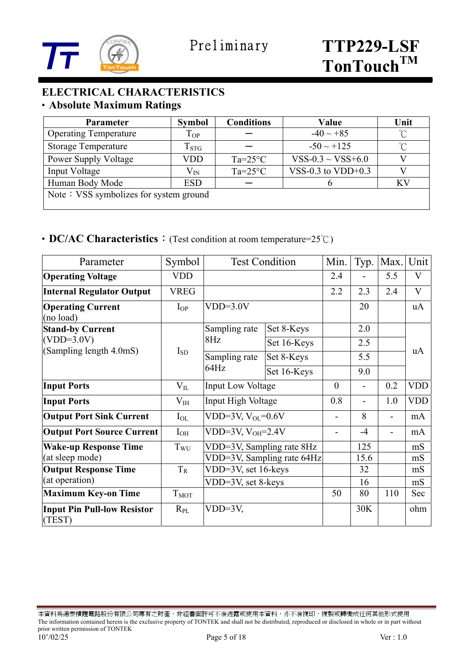

#### **ELECTRICAL CHARACTERISTICS**  ‧**Absolute Maximum Ratings**

| <b>Parameter</b>                       | <b>Symbol</b>      | <b>Conditions</b> | Value                  | Unit                     |
|----------------------------------------|--------------------|-------------------|------------------------|--------------------------|
| <b>Operating Temperature</b>           | $T_{OP}$           |                   | $-40 \sim +85$         | $\mathrm{C}^{\circ}$     |
| <b>Storage Temperature</b>             | $\mathrm{T_{STG}}$ |                   | $-50 \sim +125$        | $\int_{\alpha}^{\infty}$ |
| Power Supply Voltage                   | VDD                | $Ta=25^{\circ}C$  | $VSS-0.3 \sim VSS+6.0$ |                          |
| Input Voltage                          | $\rm V_{IN}$       | $Ta=25^{\circ}C$  | VSS-0.3 to VDD+0.3     |                          |
| Human Body Mode                        | <b>ESD</b>         |                   |                        | <b>KV</b>                |
| Note: VSS symbolizes for system ground |                    |                   |                        |                          |

#### ‧**DC/AC Characteristics**:(Test condition at room temperature=25℃)

| Parameter                                    | Symbol           |                            | <b>Test Condition</b> | Min.                     | Typ. | Max.           | Unit         |
|----------------------------------------------|------------------|----------------------------|-----------------------|--------------------------|------|----------------|--------------|
| <b>Operating Voltage</b>                     | <b>VDD</b>       |                            |                       | 2.4                      |      | 5.5            | $\bf V$      |
| <b>Internal Regulator Output</b>             | <b>VREG</b>      |                            |                       | 2.2                      | 2.3  | 2.4            | $\mathbf{V}$ |
| <b>Operating Current</b><br>(no load)        | $I_{OP}$         | $VDD=3.0V$                 |                       |                          | 20   |                | uA           |
| <b>Stand-by Current</b>                      |                  | Sampling rate              | Set 8-Keys            |                          | 2.0  |                |              |
| $(VDD=3.0V)$                                 | $I_{SD}$         | 8Hz                        | Set 16-Keys           |                          | 2.5  |                | uA           |
| (Sampling length 4.0mS)                      |                  | Sampling rate<br>64Hz      | Set 8-Keys            |                          | 5.5  |                |              |
|                                              |                  |                            | Set 16-Keys           |                          | 9.0  |                |              |
| <b>Input Ports</b>                           | $V_{IL}$         | <b>Input Low Voltage</b>   |                       | $\mathbf{0}$             |      | 0.2            | <b>VDD</b>   |
| <b>Input Ports</b>                           | $V_{IH}$         | Input High Voltage         |                       | 0.8                      | ÷.   | 1.0            | <b>VDD</b>   |
| <b>Output Port Sink Current</b>              | $I_{OL}$         | VDD=3V, $V_{OL}$ =0.6V     |                       | $\overline{\phantom{0}}$ | 8    | $\blacksquare$ | mA           |
| <b>Output Port Source Current</b>            | $I_{OH}$         | VDD=3V, $V_{OH} = 2.4V$    |                       |                          | $-4$ | ÷              | mA           |
| <b>Wake-up Response Time</b>                 | Twu              | VDD=3V, Sampling rate 8Hz  |                       |                          | 125  |                | mS           |
| (at sleep mode)                              |                  | VDD=3V, Sampling rate 64Hz |                       |                          | 15.6 |                | mS           |
| <b>Output Response Time</b>                  | $T_R$            | VDD=3V, set 16-keys        |                       |                          | 32   |                | mS           |
| (at operation)                               |                  | VDD=3V, set 8-keys         |                       |                          | 16   |                | mS           |
| <b>Maximum Key-on Time</b>                   | T <sub>MOT</sub> |                            |                       | 50                       | 80   | 110            | Sec          |
| <b>Input Pin Pull-low Resistor</b><br>(TEST) | $R_{PL}$         | $VDD=3V,$                  |                       |                          | 30K  |                | ohm          |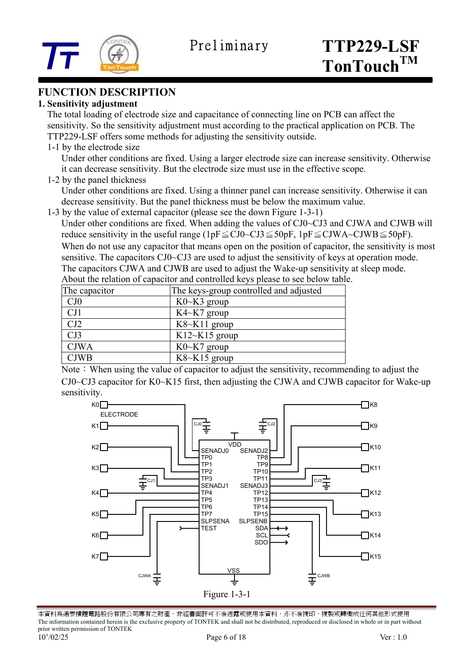

#### **FUNCTION DESCRIPTION**

#### **1. Sensitivity adjustment**

 The total loading of electrode size and capacitance of connecting line on PCB can affect the sensitivity. So the sensitivity adjustment must according to the practical application on PCB. The TTP229-LSF offers some methods for adjusting the sensitivity outside.

1-1 by the electrode size

Under other conditions are fixed. Using a larger electrode size can increase sensitivity. Otherwise it can decrease sensitivity. But the electrode size must use in the effective scope.

1-2 by the panel thickness

Under other conditions are fixed. Using a thinner panel can increase sensitivity. Otherwise it can decrease sensitivity. But the panel thickness must be below the maximum value.

1-3 by the value of external capacitor (please see the down Figure 1-3-1)

Under other conditions are fixed. When adding the values of CJ0~CJ3 and CJWA and CJWB will reduce sensitivity in the useful range (1pF $\leq$ CJ0~CJ3 $\leq$ 50pF, 1pF $\leq$ CJWA~CJWB $\leq$ 50pF). When do not use any capacitor that means open on the position of capacitor, the sensitivity is most sensitive. The capacitors CJ0~CJ3 are used to adjust the sensitivity of keys at operation mode.

The capacitors CJWA and CJWB are used to adjust the Wake-up sensitivity at sleep mode. About the relation of capacitor and controlled keys please to see below table.

| The capacitor | The keys-group controlled and adjusted |
|---------------|----------------------------------------|
| CJ0           | $K0\nthicksim K3$ group                |
| CJ1           | $K4~K7$ group                          |
| CJ2           | $K8~K11$ group                         |
| CJ3           | $K12 \sim K15$ group                   |
| <b>CJWA</b>   | $K0\nthicksim K7$ group                |
| <b>CJWB</b>   | $K8~K15$ group                         |
|               |                                        |

Note: When using the value of capacitor to adjust the sensitivity, recommending to adjust the CJ0~CJ3 capacitor for K0~K15 first, then adjusting the CJWA and CJWB capacitor for Wake-up sensitivity.



本資料為通泰積體電路股份有限公司專有之財產,非經書面許可不准透露或使用本資料,亦不准複印、複製或轉變成任何其他形式使用 The information contained herein is the exclusive property of TONTEK and shall not be distributed, reproduced or disclosed in whole or in part without prior written permission of TONTEK 10'/02/25 Page 6 of 18 Ver : 1.0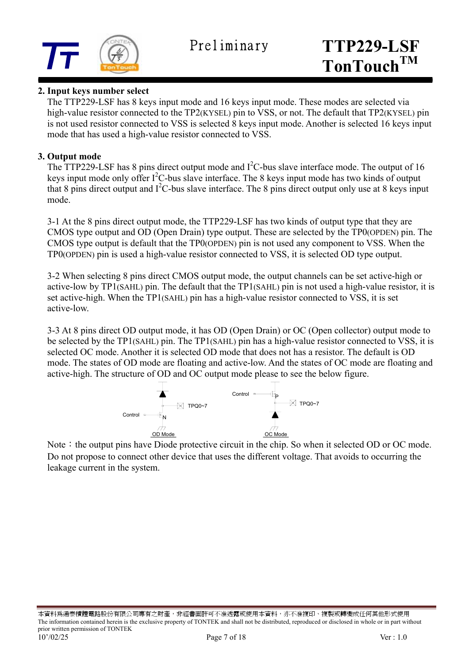

#### **2. Input keys number select**

 The TTP229-LSF has 8 keys input mode and 16 keys input mode. These modes are selected via high-value resistor connected to the TP2(KYSEL) pin to VSS, or not. The default that TP2(KYSEL) pin is not used resistor connected to VSS is selected 8 keys input mode. Another is selected 16 keys input mode that has used a high-value resistor connected to VSS.

#### **3. Output mode**

The TTP229-LSF has 8 pins direct output mode and  $I<sup>2</sup>C$ -bus slave interface mode. The output of 16 keys input mode only offer  $I^2C$ -bus slave interface. The 8 keys input mode has two kinds of output that 8 pins direct output and  $I^2C$ -bus slave interface. The 8 pins direct output only use at 8 keys input mode.

 3-1 At the 8 pins direct output mode, the TTP229-LSF has two kinds of output type that they are CMOS type output and OD (Open Drain) type output. These are selected by the TP0(OPDEN) pin. The CMOS type output is default that the TP0(OPDEN) pin is not used any component to VSS. When the TP0(OPDEN) pin is used a high-value resistor connected to VSS, it is selected OD type output.

 3-2 When selecting 8 pins direct CMOS output mode, the output channels can be set active-high or active-low by TP1(SAHL) pin. The default that the TP1(SAHL) pin is not used a high-value resistor, it is set active-high. When the TP1(SAHL) pin has a high-value resistor connected to VSS, it is set active-low.

 3-3 At 8 pins direct OD output mode, it has OD (Open Drain) or OC (Open collector) output mode to be selected by the TP1(SAHL) pin. The TP1(SAHL) pin has a high-value resistor connected to VSS, it is selected OC mode. Another it is selected OD mode that does not has a resistor. The default is OD mode. The states of OD mode are floating and active-low. And the states of OC mode are floating and active-high. The structure of OD and OC output mode please to see the below figure.



Note: the output pins have Diode protective circuit in the chip. So when it selected OD or OC mode. Do not propose to connect other device that uses the different voltage. That avoids to occurring the leakage current in the system.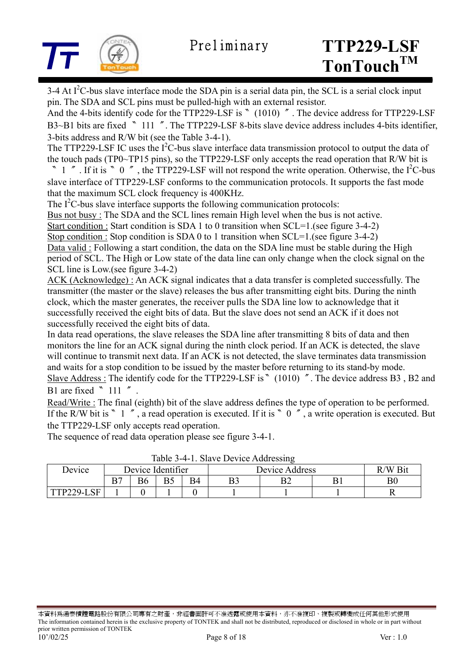

3-4 At  $I<sup>2</sup>C$ -bus slave interface mode the SDA pin is a serial data pin, the SCL is a serial clock input pin. The SDA and SCL pins must be pulled-high with an external resistor.

And the 4-bits identify code for the TTP229-LSF is 〝 (1010) ″. The device address for TTP229-LSF B3~B1 bits are fixed <sup>N</sup> 111  $\degree$ . The TTP229-LSF 8-bits slave device address includes 4-bits identifier. 3-bits address and R/W bit (see the Table 3-4-1).

The TTP229-LSF IC uses the  $I^2C$ -bus slave interface data transmission protocol to output the data of the touch pads (TP0~TP15 pins), so the TTP229-LSF only accepts the read operation that R/W bit is

<sup>"</sup> 1  $'$ . If it is  $'$  0  $''$ , the TTP229-LSF will not respond the write operation. Otherwise, the I<sup>2</sup>C-bus slave interface of TTP229-LSF conforms to the communication protocols. It supports the fast mode that the maximum SCL clock frequency is 400KHz.

The  $I<sup>2</sup>C$ -bus slave interface supports the following communication protocols:

Bus not busy : The SDA and the SCL lines remain High level when the bus is not active.

Start condition : Start condition is SDA 1 to 0 transition when SCL=1.(see figure 3-4-2)

Stop condition : Stop condition is SDA 0 to 1 transition when SCL=1.(see figure 3-4-2) Data valid : Following a start condition, the data on the SDA line must be stable during the High period of SCL. The High or Low state of the data line can only change when the clock signal on the

SCL line is Low.(see figure 3-4-2)

ACK (Acknowledge) : An ACK signal indicates that a data transfer is completed successfully. The transmitter (the master or the slave) releases the bus after transmitting eight bits. During the ninth clock, which the master generates, the receiver pulls the SDA line low to acknowledge that it successfully received the eight bits of data. But the slave does not send an ACK if it does not successfully received the eight bits of data.

In data read operations, the slave releases the SDA line after transmitting 8 bits of data and then monitors the line for an ACK signal during the ninth clock period. If an ACK is detected, the slave will continue to transmit next data. If an ACK is not detected, the slave terminates data transmission and waits for a stop condition to be issued by the master before returning to its stand-by mode. Slave Address : The identify code for the TTP229-LSF is <sup>®</sup> (1010)  $\degree$ . The device address B3, B2 and B1 are fixed  $\degree$  111  $\degree$ .

Read/Write : The final (eighth) bit of the slave address defines the type of operation to be performed. If the R/W bit is 〝 1 », a read operation is executed. If it is 〝 0  $\degree$ , a write operation is executed. But the TTP229-LSF only accepts read operation.

The sequence of read data operation please see figure 3-4-1.

|            |                   |  |  |    | $10010 \nu$ $1.10100 \nu$ |         |  |  |
|------------|-------------------|--|--|----|---------------------------|---------|--|--|
| Device     | Device Identifier |  |  |    | Device Address            | R/W Bit |  |  |
|            |                   |  |  | B4 |                           | ◡▵      |  |  |
| TTP229-LSF |                   |  |  |    |                           |         |  |  |

Table 3-4-1. Slave Device Addressing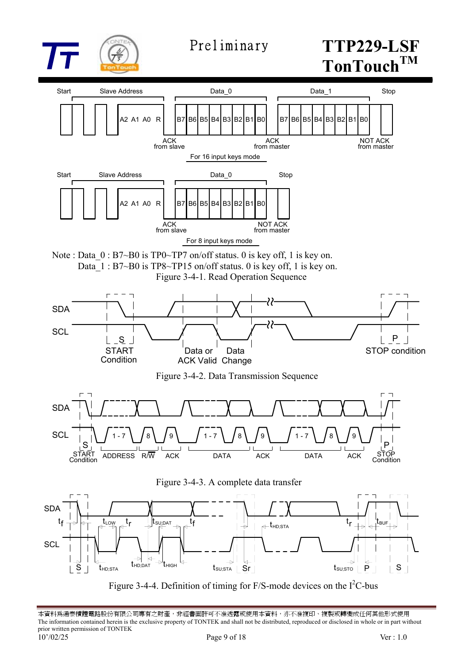

## Preliminary **TTP229-LSF TonTouchTM**



Figure 3-4-4. Definition of timing for  $F/S$ -mode devices on the  $I<sup>2</sup>C$ -bus

本資料爲通泰積體電路股份有限公司專有之財產,非經書面許可不准透露或使用本資料,亦不准複印、複製或轉變成任何其他形式使用 The information contained herein is the exclusive property of TONTEK and shall not be distributed, reproduced or disclosed in whole or in part without prior written permission of TONTEK 10'/02/25 Page 9 of 18 Ver : 1.0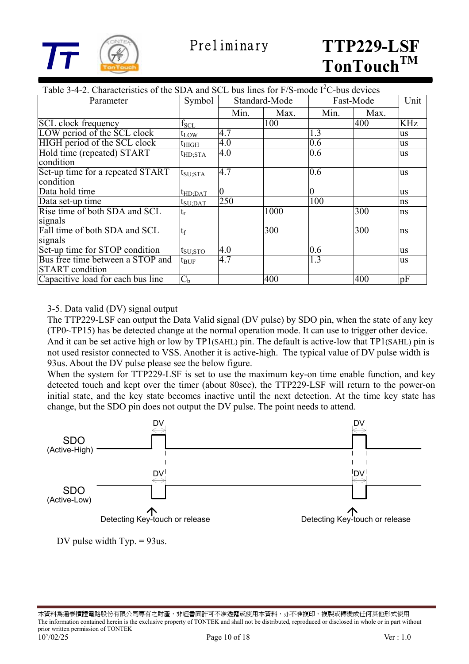

| Table 3-4-2. Characteristics of the SDA and SCL bus lines for $F/S$ -mode $I2C$ -bus devices |                     |                |               |                  |      |            |
|----------------------------------------------------------------------------------------------|---------------------|----------------|---------------|------------------|------|------------|
| Parameter                                                                                    | Symbol              |                | Standard-Mode | Fast-Mode        |      | Unit       |
|                                                                                              |                     | Min.           | Max.          | Min.             | Max. |            |
| <b>SCL</b> clock frequency                                                                   | $\rm f_{\rm SCL}$   |                | 100           |                  | 400  | <b>KHz</b> |
| LOW period of the SCL clock                                                                  | $t_{LOW}$           | 4.7            |               | 1.3              |      | us         |
| HIGH period of the SCL clock                                                                 | $t_{\rm HIGH}$      | 4.0            |               | 0.6              |      | us         |
| Hold time (repeated) START<br>condition                                                      | $t_{HD;STA}$        | 4.0            |               | 0.6              |      | us         |
| Set-up time for a repeated START<br>condition                                                | $t_{\rm SU;STA}$    | 4.7            |               | 0.6              |      | us         |
| Data hold time                                                                               |                     | $\overline{0}$ |               | $\overline{0}$   |      | <b>us</b>  |
| Data set-up time                                                                             | t <sub>HD;DAT</sub> | 250            |               | 100              |      | ns         |
| Rise time of both SDA and SCL                                                                | $t_{\rm SU;DAT}$    |                | 1000          |                  | 300  |            |
| signals                                                                                      | $t_{\rm r}$         |                |               |                  |      | ns         |
| Fall time of both SDA and SCL<br>signals                                                     | $t_f$               |                | 300           |                  | 300  | ns         |
| Set-up time for STOP condition                                                               | $t_{\rm SU;STO}$    | 4.0            |               | $\overline{0.6}$ |      | <b>us</b>  |
| Bus free time between a STOP and<br><b>START</b> condition                                   | $t_{\rm BUF}$       | 4.7            |               | 1.3              |      | us         |
| Capacitive load for each bus line                                                            | C <sub>b</sub>      |                | 400           |                  | 400  | pF         |

#### 3-5. Data valid (DV) signal output

 The TTP229-LSF can output the Data Valid signal (DV pulse) by SDO pin, when the state of any key (TP0~TP15) has be detected change at the normal operation mode. It can use to trigger other device. And it can be set active high or low by TP1(SAHL) pin. The default is active-low that TP1(SAHL) pin is not used resistor connected to VSS. Another it is active-high. The typical value of DV pulse width is 93us. About the DV pulse please see the below figure.

 When the system for TTP229-LSF is set to use the maximum key-on time enable function, and key detected touch and kept over the timer (about 80sec), the TTP229-LSF will return to the power-on initial state, and the key state becomes inactive until the next detection. At the time key state has change, but the SDO pin does not output the DV pulse. The point needs to attend.



DV pulse width Typ. = 93us.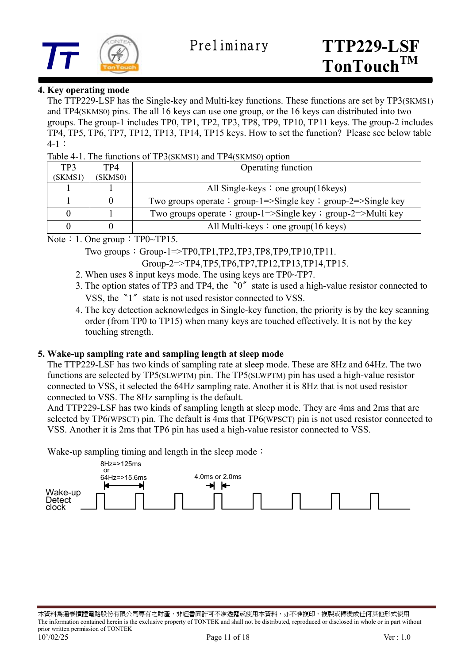

#### **4. Key operating mode**

 The TTP229-LSF has the Single-key and Multi-key functions. These functions are set by TP3(SKMS1) and TP4(SKMS0) pins. The all 16 keys can use one group, or the 16 keys can distributed into two groups. The group-1 includes TP0, TP1, TP2, TP3, TP8, TP9, TP10, TP11 keys. The group-2 includes TP4, TP5, TP6, TP7, TP12, TP13, TP14, TP15 keys. How to set the function? Please see below table 4-1:

Table 4-1. The functions of TP3(SKMS1) and TP4(SKMS0) option

| TP3     | TP4     | Operating function                                            |
|---------|---------|---------------------------------------------------------------|
| (SKMS1) | (SKMS0) |                                                               |
|         |         | All Single-keys $\colon$ one group(16 keys)                   |
|         |         | Two groups operate: group-1=>Single key ; group-2=>Single key |
|         |         | Two groups operate : group-1=>Single key : group-2=>Multi key |
|         |         | All Multi-keys $\colon$ one group(16 keys)                    |

Note: 1. One group:  $TP0~TP15$ .

Two groups:  $Group-1=\text{TP0},TP1,TP2,TP3,TP8,TP9,TP10,TP11.$ 

Group-2=>TP4,TP5,TP6,TP7,TP12,TP13,TP14,TP15.

- 2. When uses 8 input keys mode. The using keys are TP0~TP7.
- 3. The option states of TP3 and TP4, the  $\degree$ 0<sup> $\degree$ </sup> state is used a high-value resistor connected to VSS, the <sup>n</sup><sup>1″</sup> state is not used resistor connected to VSS.
- 4. The key detection acknowledges in Single-key function, the priority is by the key scanning order (from TP0 to TP15) when many keys are touched effectively. It is not by the key touching strength.

#### **5. Wake-up sampling rate and sampling length at sleep mode**

The TTP229-LSF has two kinds of sampling rate at sleep mode. These are 8Hz and 64Hz. The two functions are selected by TP5(SLWPTM) pin. The TP5(SLWPTM) pin has used a high-value resistor connected to VSS, it selected the 64Hz sampling rate. Another it is 8Hz that is not used resistor connected to VSS. The 8Hz sampling is the default.

 And TTP229-LSF has two kinds of sampling length at sleep mode. They are 4ms and 2ms that are selected by TP6(WPSCT) pin. The default is 4ms that TP6(WPSCT) pin is not used resistor connected to VSS. Another it is 2ms that TP6 pin has used a high-value resistor connected to VSS.

Wake-up sampling timing and length in the sleep mode:

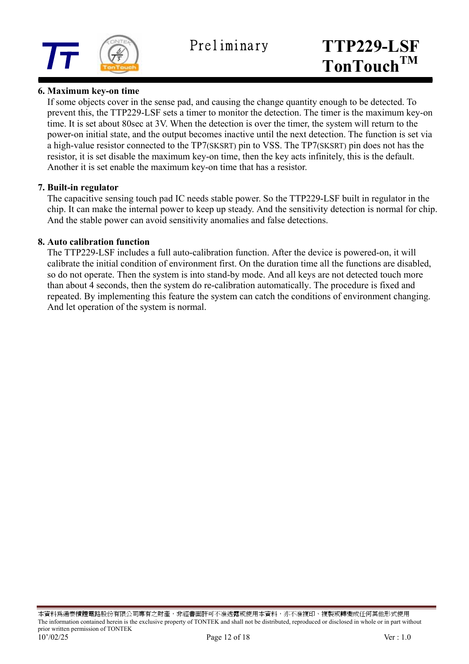

#### **6. Maximum key-on time**

If some objects cover in the sense pad, and causing the change quantity enough to be detected. To prevent this, the TTP229-LSF sets a timer to monitor the detection. The timer is the maximum key-on time. It is set about 80sec at 3V. When the detection is over the timer, the system will return to the power-on initial state, and the output becomes inactive until the next detection. The function is set via a high-value resistor connected to the TP7(SKSRT) pin to VSS. The TP7(SKSRT) pin does not has the resistor, it is set disable the maximum key-on time, then the key acts infinitely, this is the default. Another it is set enable the maximum key-on time that has a resistor.

#### **7. Built-in regulator**

The capacitive sensing touch pad IC needs stable power. So the TTP229-LSF built in regulator in the chip. It can make the internal power to keep up steady. And the sensitivity detection is normal for chip. And the stable power can avoid sensitivity anomalies and false detections.

#### **8. Auto calibration function**

The TTP229-LSF includes a full auto-calibration function. After the device is powered-on, it will calibrate the initial condition of environment first. On the duration time all the functions are disabled, so do not operate. Then the system is into stand-by mode. And all keys are not detected touch more than about 4 seconds, then the system do re-calibration automatically. The procedure is fixed and repeated. By implementing this feature the system can catch the conditions of environment changing. And let operation of the system is normal.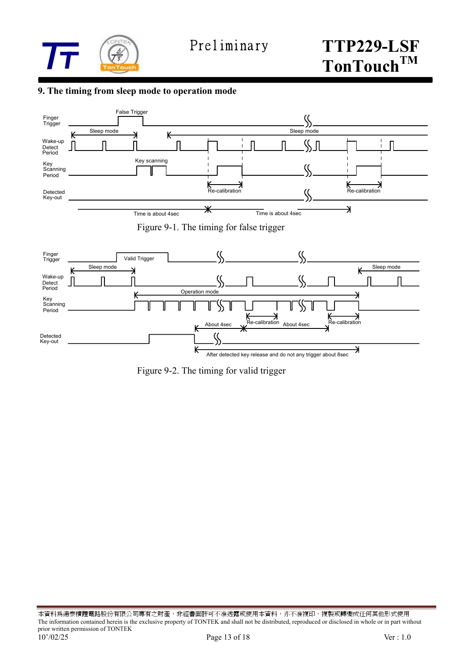

#### **9. The timing from sleep mode to operation mode**



 $\kappa$ After detected key release and do not any trigger about 8sec

Figure 9-2. The timing for valid trigger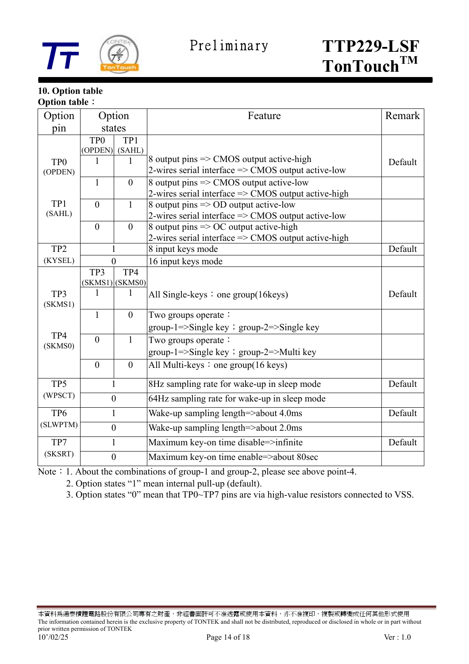

#### **10. Option table Option table**:

| Option                     | Option                     |                        | Feature                                                                                                              | Remark  |
|----------------------------|----------------------------|------------------------|----------------------------------------------------------------------------------------------------------------------|---------|
| pin                        |                            | states                 |                                                                                                                      |         |
|                            | TP <sub>0</sub><br>(OPDEN) | TP1<br>(SAHL)          |                                                                                                                      |         |
| TP <sub>0</sub><br>(OPDEN) | 1                          | 1                      | 8 output pins $\Rightarrow$ CMOS output active-high<br>2-wires serial interface $\Rightarrow$ CMOS output active-low | Default |
|                            | $\mathbf{1}$               | $\boldsymbol{0}$       | 8 output pins => CMOS output active-low<br>2-wires serial interface $\Rightarrow$ CMOS output active-high            |         |
| TP1<br>(SAHL)              | $\theta$                   | $\mathbf{1}$           | 8 output pins => OD output active-low<br>2-wires serial interface => CMOS output active-low                          |         |
|                            | $\overline{0}$             | $\boldsymbol{0}$       | 8 output pins $\Rightarrow$ OC output active-high<br>2-wires serial interface => CMOS output active-high             |         |
| TP <sub>2</sub>            |                            |                        | 8 input keys mode                                                                                                    | Default |
| (KYSEL)                    |                            | $\theta$               | 16 input keys mode                                                                                                   |         |
|                            | TP3                        | TP4<br>(SKMS1) (SKMS0) |                                                                                                                      |         |
| TP3<br>(SKMS1)             | 1                          | $\mathbf{1}$           | All Single-keys : one group $(16 \text{keys})$                                                                       | Default |
|                            | $\mathbf{1}$               | $\boldsymbol{0}$       | Two groups operate:<br>group-1= $>\frac{5}{\text{Single key}}$ ; group-2= $>\frac{5}{\text{Single key}}$             |         |
| TP4<br>(SKMS0)             | $\theta$                   | $\mathbf{1}$           | Two groups operate:<br>group-1=>Single key ; group-2=>Multi key                                                      |         |
|                            | $\overline{0}$             | $\theta$               | All Multi-keys : one group $(16 \text{ keys})$                                                                       |         |
| TP5                        |                            | $\mathbf{1}$           | 8Hz sampling rate for wake-up in sleep mode                                                                          | Default |
| (WPSCT)                    |                            | $\boldsymbol{0}$       | 64Hz sampling rate for wake-up in sleep mode                                                                         |         |
| TP <sub>6</sub>            | 1                          |                        | Wake-up sampling length=>about 4.0ms                                                                                 | Default |
| (SLWPTM)                   |                            | $\boldsymbol{0}$       | Wake-up sampling length=>about 2.0ms                                                                                 |         |
| TP7                        |                            | 1                      | Maximum key-on time disable=>infinite                                                                                | Default |
| (SKSRT)                    | $\boldsymbol{0}$           |                        | Maximum key-on time enable=>about 80sec                                                                              |         |

Note: 1. About the combinations of group-1 and group-2, please see above point-4.

2. Option states "1" mean internal pull-up (default).

3. Option states "0" mean that TP0~TP7 pins are via high-value resistors connected to VSS.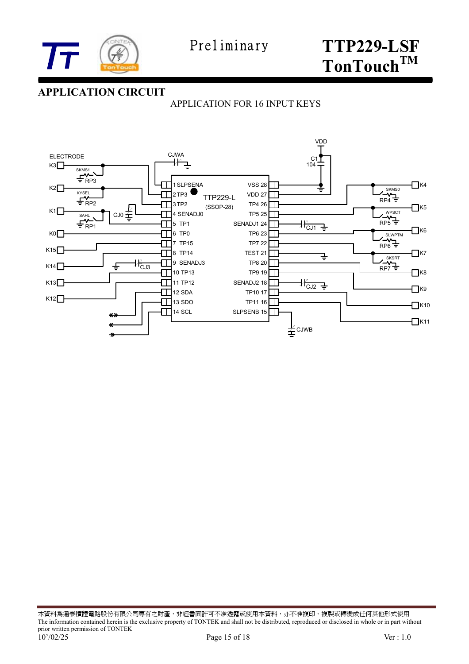

### **APPLICATION CIRCUIT**

APPLICATION FOR 16 INPUT KEYS



本資料為通泰積體電路股份有限公司專有之財產,非經書面許可不准透露或使用本資料,亦不准複印、複製或轉變成任何其他形式使用 The information contained herein is the exclusive property of TONTEK and shall not be distributed, reproduced or disclosed in whole or in part without prior written permission of TONTEK 10'/02/25 Page 15 of 18 Ver: 1.0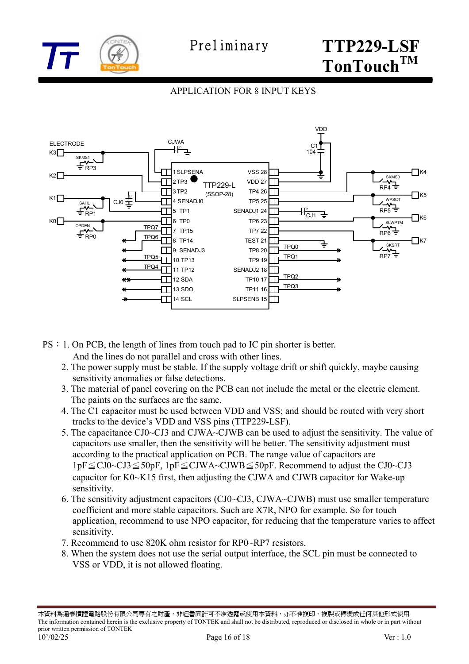

#### APPLICATION FOR 8 INPUT KEYS



- PS:1. On PCB, the length of lines from touch pad to IC pin shorter is better.
	- And the lines do not parallel and cross with other lines.
	- 2. The power supply must be stable. If the supply voltage drift or shift quickly, maybe causing sensitivity anomalies or false detections.
	- 3. The material of panel covering on the PCB can not include the metal or the electric element. The paints on the surfaces are the same.
	- 4. The C1 capacitor must be used between VDD and VSS; and should be routed with very short tracks to the device's VDD and VSS pins (TTP229-LSF).
	- 5. The capacitance CJ0~CJ3 and CJWA~CJWB can be used to adjust the sensitivity. The value of capacitors use smaller, then the sensitivity will be better. The sensitivity adjustment must according to the practical application on PCB. The range value of capacitors are 1pF≦CJ0~CJ3≦50pF, 1pF≦CJWA~CJWB≦50pF. Recommend to adjust the CJ0~CJ3 capacitor for K0~K15 first, then adjusting the CJWA and CJWB capacitor for Wake-up sensitivity.
	- 6. The sensitivity adjustment capacitors (CJ0~CJ3, CJWA~CJWB) must use smaller temperature coefficient and more stable capacitors. Such are X7R, NPO for example. So for touch application, recommend to use NPO capacitor, for reducing that the temperature varies to affect sensitivity.
	- 7. Recommend to use 820K ohm resistor for RP0~RP7 resistors.
	- 8. When the system does not use the serial output interface, the SCL pin must be connected to VSS or VDD, it is not allowed floating.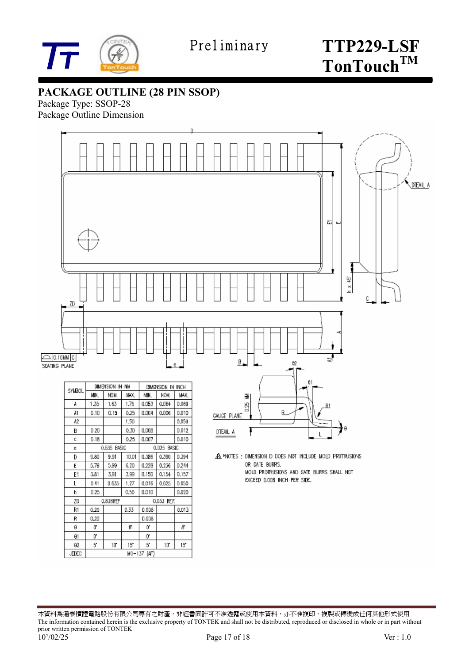

**PACKAGE OUTLINE (28 PIN SSOP)** 

Package Type: SSOP-28 Package Outline Dimension



| SYMBOL |      | <b>NUMERATOR IIA</b> | <b>ISM</b> | LAMERSIUM IN INUM |              |       |  |
|--------|------|----------------------|------------|-------------------|--------------|-------|--|
|        | MIN. | NOM.                 | WAX.       | MIN.              | NCW.         | MАX   |  |
| A      | 1.35 | 1.63                 | 1.75       | 0.053             | 0.064        | D.069 |  |
| A1     | 0.10 | 0.15                 | 0.25       | 0.004             | 0.006        | D.010 |  |
| Α2     |      |                      | 1.50       |                   |              | 0.059 |  |
| B      | 0.20 |                      | 0.30       | 0.008             |              | D.012 |  |
| С      | D.1B |                      | 0.25       | 0.007             |              | D.010 |  |
| ē      |      | 0.635 BASIC          |            |                   | 0.D25 BASIC  |       |  |
| D      | 9.80 | 9.91                 | 10.D1      | 0.386             | 0.390        | D.394 |  |
| E      | 5.79 | 5.99                 | 6.20       | 0.228             | 0.236        | 0.244 |  |
| E1     | 3.81 | 3.91                 | 3.99       | 0.150             | 0.154        | D.157 |  |
| L      | 0.41 | 0.635                | 1.27       | 0.016             | 0.025        | 0.050 |  |
| h      | 0.25 |                      | 0.50       | 0.010             |              | D.020 |  |
| ZD     |      | 0.838REF             |            | 0.033<br>REF.     |              |       |  |
| R1     | 0.20 |                      | 0.33       | 0.008             |              | 0.013 |  |
| К      | 0.20 |                      |            | <b>D.OD&amp;</b>  |              |       |  |
| θ      | 0,   |                      | 8,         | ũ                 |              | 8.    |  |
| θ1     | D,   |                      |            | 0,                |              |       |  |
| θ2     | 5    | 10                   | 15         | 5                 | $10^{\circ}$ | 15    |  |
| JEDEC  |      |                      | MO-137     | (AF)              |              |       |  |

| . .<br>θ<br>0.25 MM<br>R1<br><b><i>GAUGE PLANE</i></b> |
|--------------------------------------------------------|
| θ<br>DTEAIL A                                          |

A MOTES : DIMENSION D DOES NOT INCLUDE MOLD PROTRUSIONS OR GATE BURRS. MOLD PROTRUSIONS AND GATE BURRS SHALL NOT EXCEED 0.006 INCH PER SIDE.

本資料為通泰積體電路股份有限公司專有之財產,非經書面許可不准透露或使用本資料,亦不准複印、複製或轉變成任何其他形式使用 The information contained herein is the exclusive property of TONTEK and shall not be distributed, reproduced or disclosed in whole or in part without prior written permission of TONTEK 10'/02/25 Page 17 of 18 Ver : 1.0